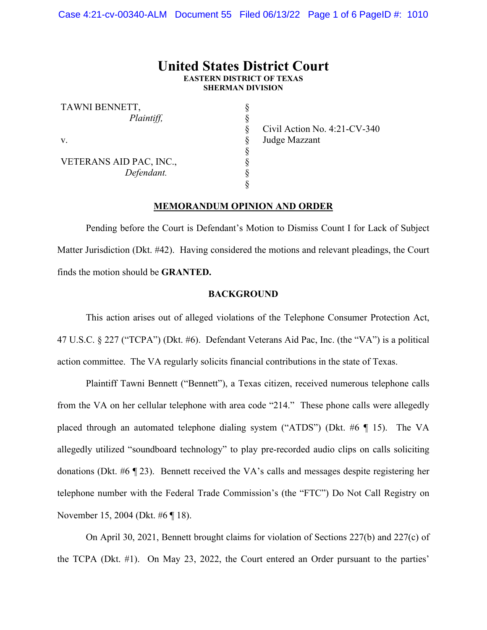# **United States District Court EASTERN DISTRICT OF TEXAS SHERMAN DIVISION**

§ § § § § § § §

| TAWNI BENNETT,          |
|-------------------------|
| Plaintiff,              |
|                         |
| v.                      |
|                         |
| VETERANS AID PAC, INC., |
| Defendant.              |
|                         |

Civil Action No. 4:21-CV-340 Judge Mazzant

### **MEMORANDUM OPINION AND ORDER**

Pending before the Court is Defendant's Motion to Dismiss Count I for Lack of Subject Matter Jurisdiction (Dkt. #42). Having considered the motions and relevant pleadings, the Court finds the motion should be **GRANTED.** 

### **BACKGROUND**

This action arises out of alleged violations of the Telephone Consumer Protection Act, 47 U.S.C. § 227 ("TCPA") (Dkt. #6). Defendant Veterans Aid Pac, Inc. (the "VA") is a political action committee. The VA regularly solicits financial contributions in the state of Texas.

Plaintiff Tawni Bennett ("Bennett"), a Texas citizen, received numerous telephone calls from the VA on her cellular telephone with area code "214." These phone calls were allegedly placed through an automated telephone dialing system ("ATDS") (Dkt. #6 ¶ 15). The VA allegedly utilized "soundboard technology" to play pre-recorded audio clips on calls soliciting donations (Dkt. #6 ¶ 23). Bennett received the VA's calls and messages despite registering her telephone number with the Federal Trade Commission's (the "FTC") Do Not Call Registry on November 15, 2004 (Dkt. #6 ¶ 18).

On April 30, 2021, Bennett brought claims for violation of Sections 227(b) and 227(c) of the TCPA (Dkt. #1). On May 23, 2022, the Court entered an Order pursuant to the parties'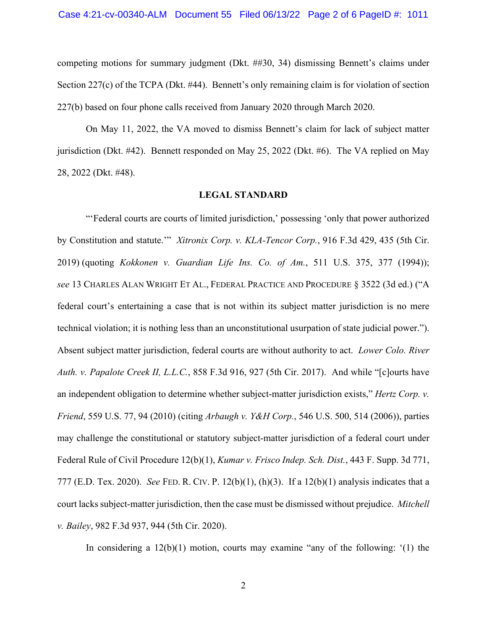competing motions for summary judgment (Dkt. ##30, 34) dismissing Bennett's claims under Section 227(c) of the TCPA (Dkt. #44). Bennett's only remaining claim is for violation of section 227(b) based on four phone calls received from January 2020 through March 2020.

On May 11, 2022, the VA moved to dismiss Bennett's claim for lack of subject matter jurisdiction (Dkt. #42). Bennett responded on May 25, 2022 (Dkt. #6). The VA replied on May 28, 2022 (Dkt. #48).

### **LEGAL STANDARD**

"'Federal courts are courts of limited jurisdiction,' possessing 'only that power authorized by Constitution and statute.'" *Xitronix Corp. v. KLA-Tencor Corp.*, 916 F.3d 429, 435 (5th Cir. 2019) (quoting *Kokkonen v. Guardian Life Ins. Co. of Am.*, 511 U.S. 375, 377 (1994)); *see* 13 CHARLES ALAN WRIGHT ET AL., FEDERAL PRACTICE AND PROCEDURE § 3522 (3d ed.) ("A federal court's entertaining a case that is not within its subject matter jurisdiction is no mere technical violation; it is nothing less than an unconstitutional usurpation of state judicial power."). Absent subject matter jurisdiction, federal courts are without authority to act. *Lower Colo. River Auth. v. Papalote Creek II, L.L.C.*, 858 F.3d 916, 927 (5th Cir. 2017). And while "[c]ourts have an independent obligation to determine whether subject-matter jurisdiction exists," *Hertz Corp. v. Friend*, 559 U.S. 77, 94 (2010) (citing *Arbaugh v. Y&H Corp.*, 546 U.S. 500, 514 (2006)), parties may challenge the constitutional or statutory subject-matter jurisdiction of a federal court under Federal Rule of Civil Procedure 12(b)(1), *Kumar v. Frisco Indep. Sch. Dist.*, 443 F. Supp. 3d 771, 777 (E.D. Tex. 2020). *See* FED. R. CIV. P. 12(b)(1), (h)(3). If a 12(b)(1) analysis indicates that a court lacks subject-matter jurisdiction, then the case must be dismissed without prejudice. *Mitchell v. Bailey*, 982 F.3d 937, 944 (5th Cir. 2020).

In considering a 12(b)(1) motion, courts may examine "any of the following: '(1) the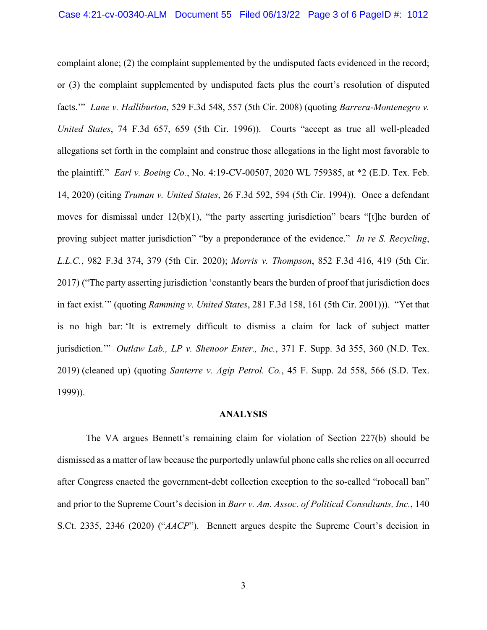complaint alone; (2) the complaint supplemented by the undisputed facts evidenced in the record; or (3) the complaint supplemented by undisputed facts plus the court's resolution of disputed facts.'" *Lane v. Halliburton*, 529 F.3d 548, 557 (5th Cir. 2008) (quoting *Barrera-Montenegro v. United States*, 74 F.3d 657, 659 (5th Cir. 1996)). Courts "accept as true all well-pleaded allegations set forth in the complaint and construe those allegations in the light most favorable to the plaintiff." *Earl v. Boeing Co.*, No. 4:19-CV-00507, 2020 WL 759385, at \*2 (E.D. Tex. Feb. 14, 2020) (citing *Truman v. United States*, 26 F.3d 592, 594 (5th Cir. 1994)). Once a defendant moves for dismissal under  $12(b)(1)$ , "the party asserting jurisdiction" bears "[t]he burden of proving subject matter jurisdiction" "by a preponderance of the evidence." *In re S. Recycling*, *L.L.C.*, 982 F.3d 374, 379 (5th Cir. 2020); *Morris v. Thompson*, 852 F.3d 416, 419 (5th Cir. 2017) ("The party asserting jurisdiction 'constantly bears the burden of proof that jurisdiction does in fact exist.'" (quoting *Ramming v. United States*, 281 F.3d 158, 161 (5th Cir. 2001))). "Yet that is no high bar: 'It is extremely difficult to dismiss a claim for lack of subject matter jurisdiction.'" *Outlaw Lab., LP v. Shenoor Enter., Inc.*, 371 F. Supp. 3d 355, 360 (N.D. Tex. 2019) (cleaned up) (quoting *Santerre v. Agip Petrol. Co.*, 45 F. Supp. 2d 558, 566 (S.D. Tex. 1999)).

#### **ANALYSIS**

The VA argues Bennett's remaining claim for violation of Section 227(b) should be dismissed as a matter of law because the purportedly unlawful phone calls she relies on all occurred after Congress enacted the government-debt collection exception to the so-called "robocall ban" and prior to the Supreme Court's decision in *Barr v. Am. Assoc. of Political Consultants, Inc.*, 140 S.Ct. 2335, 2346 (2020) ("*AACP*"). Bennett argues despite the Supreme Court's decision in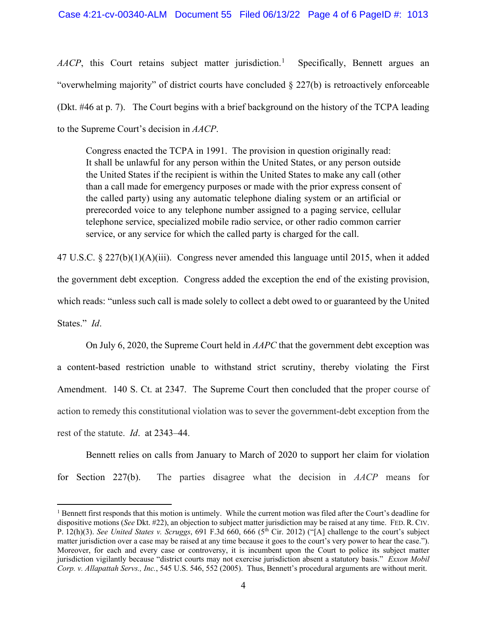*AACP*, this Court retains subject matter jurisdiction.<sup>[1](#page-3-0)</sup> Specifically, Bennett argues an "overwhelming majority" of district courts have concluded  $\S 227(b)$  is retroactively enforceable (Dkt. #46 at p. 7). The Court begins with a brief background on the history of the TCPA leading to the Supreme Court's decision in *AACP*.

Congress enacted the TCPA in 1991. The provision in question originally read: It shall be unlawful for any person within the United States, or any person outside the United States if the recipient is within the United States to make any call (other than a call made for emergency purposes or made with the prior express consent of the called party) using any automatic telephone dialing system or an artificial or prerecorded voice to any telephone number assigned to a paging service, cellular telephone service, specialized mobile radio service, or other radio common carrier service, or any service for which the called party is charged for the call.

47 U.S.C. § 227(b)(1)(A)(iii). Congress never amended this language until 2015, when it added the government debt exception. Congress added the exception the end of the existing provision, which reads: "unless such call is made solely to collect a debt owed to or guaranteed by the United States." *Id*.

On July 6, 2020, the Supreme Court held in *AAPC* that the government debt exception was a content-based restriction unable to withstand strict scrutiny, thereby violating the First Amendment. 140 S. Ct. at 2347. The Supreme Court then concluded that the proper course of action to remedy this constitutional violation was to sever the government-debt exception from the rest of the statute. *Id*. at 2343–44.

Bennett relies on calls from January to March of 2020 to support her claim for violation for Section 227(b). The parties disagree what the decision in *AACP* means for

<span id="page-3-0"></span> $<sup>1</sup>$  Bennett first responds that this motion is untimely. While the current motion was filed after the Court's deadline for</sup> dispositive motions (*See* Dkt. #22), an objection to subject matter jurisdiction may be raised at any time. FED. R. CIV. P. 12(h)(3). *See United States v. Scruggs*, 691 F.3d 660, 666 (5<sup>th</sup> Cir. 2012) ("[A] challenge to the court's subject matter jurisdiction over a case may be raised at any time because it goes to the court's very power to hear the case."). Moreover, for each and every case or controversy, it is incumbent upon the Court to police its subject matter jurisdiction vigilantly because "district courts may not exercise jurisdiction absent a statutory basis." *Exxon Mobil Corp. v. Allapattah Servs., Inc.*, 545 U.S. 546, 552 (2005). Thus, Bennett's procedural arguments are without merit.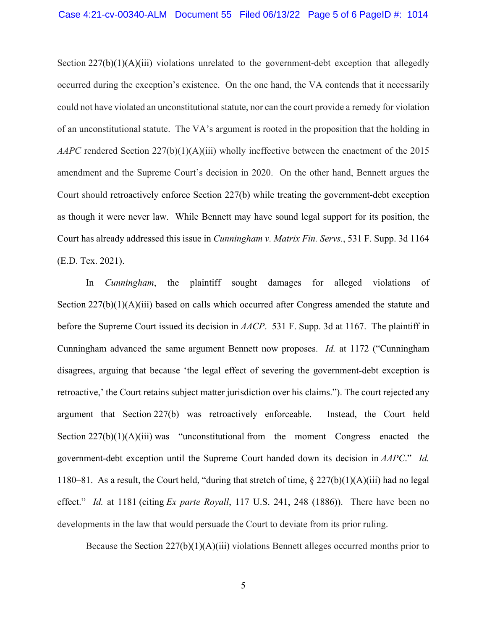Section  $227(b)(1)(A)(iii)$  violations unrelated to the government-debt exception that allegedly occurred during the exception's existence. On the one hand, the VA contends that it necessarily could not have violated an unconstitutional statute, nor can the court provide a remedy for violation of an unconstitutional statute. The VA's argument is rooted in the proposition that the holding in *AAPC* rendered Section 227(b)(1)(A)(iii) wholly ineffective between the enactment of the 2015 amendment and the Supreme Court's decision in 2020. On the other hand, Bennett argues the Court should retroactively enforce Section 227(b) while treating the government-debt exception as though it were never law. While Bennett may have sound legal support for its position, the Court has already addressed this issue in *Cunningham v. Matrix Fin. Servs.*, 531 F. Supp. 3d 1164 (E.D. Tex. 2021).

In *Cunningham*, the plaintiff sought damages for alleged violations of Section 227(b)(1)(A)(iii) based on calls which occurred after Congress amended the statute and before the Supreme Court issued its decision in *AACP*. 531 F. Supp. 3d at 1167. The plaintiff in Cunningham advanced the same argument Bennett now proposes. *Id.* at 1172 ("Cunningham disagrees, arguing that because 'the legal effect of severing the government-debt exception is retroactive,' the Court retains subject matter jurisdiction over his claims."). The court rejected any argument that Section 227(b) was retroactively enforceable. Instead, the Court held Section  $227(b)(1)(A)(iii)$  was "unconstitutional from the moment Congress enacted the government-debt exception until the Supreme Court handed down its decision in *AAPC*." *Id.*  1180–81. As a result, the Court held, "during that stretch of time, § 227(b)(1)(A)(iii) had no legal effect." *Id.* at 1181 (citing *Ex parte Royall*, 117 U.S. 241, 248 (1886)). There have been no developments in the law that would persuade the Court to deviate from its prior ruling.

Because the Section  $227(b)(1)(A)(iii)$  violations Bennett alleges occurred months prior to